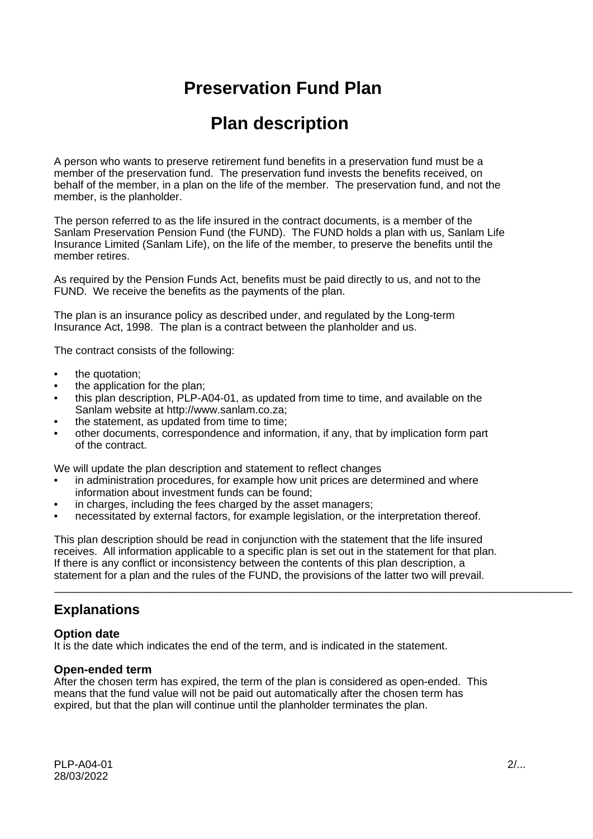# **Preservation Fund Plan**

# **Plan description**

A person who wants to preserve retirement fund benefits in a preservation fund must be a member of the preservation fund. The preservation fund invests the benefits received, on behalf of the member, in a plan on the life of the member. The preservation fund, and not the member, is the planholder.

The person referred to as the life insured in the contract documents, is a member of the Sanlam Preservation Pension Fund (the FUND). The FUND holds a plan with us, Sanlam Life Insurance Limited (Sanlam Life), on the life of the member, to preserve the benefits until the member retires.

As required by the Pension Funds Act, benefits must be paid directly to us, and not to the FUND. We receive the benefits as the payments of the plan.

The plan is an insurance policy as described under, and regulated by the Long-term Insurance Act, 1998. The plan is a contract between the planholder and us.

The contract consists of the following:

- the quotation;
- the application for the plan;
- this plan description, PLP-A04-01, as updated from time to time, and available on the Sanlam website at http://www.sanlam.co.za;
- the statement, as updated from time to time;
- other documents, correspondence and information, if any, that by implication form part of the contract.

We will update the plan description and statement to reflect changes

- in administration procedures, for example how unit prices are determined and where information about investment funds can be found;
- in charges, including the fees charged by the asset managers;
- necessitated by external factors, for example legislation, or the interpretation thereof.

This plan description should be read in conjunction with the statement that the life insured receives. All information applicable to a specific plan is set out in the statement for that plan. If there is any conflict or inconsistency between the contents of this plan description, a statement for a plan and the rules of the FUND, the provisions of the latter two will prevail.

\_\_\_\_\_\_\_\_\_\_\_\_\_\_\_\_\_\_\_\_\_\_\_\_\_\_\_\_\_\_\_\_\_\_\_\_\_\_\_\_\_\_\_\_\_\_\_\_\_\_\_\_\_\_\_\_\_\_\_\_\_\_\_\_\_\_\_\_\_\_\_\_\_\_\_\_\_\_\_\_\_\_\_\_\_\_

## **Explanations**

#### **Option date**

It is the date which indicates the end of the term, and is indicated in the statement.

#### **Open-ended term**

After the chosen term has expired, the term of the plan is considered as open-ended. This means that the fund value will not be paid out automatically after the chosen term has expired, but that the plan will continue until the planholder terminates the plan.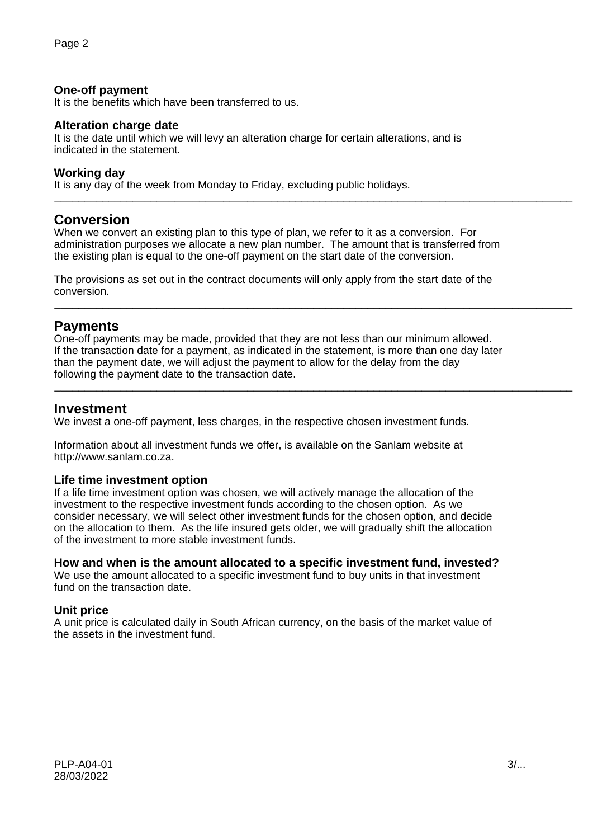### **One-off payment**

It is the benefits which have been transferred to us.

#### **Alteration charge date**

It is the date until which we will levy an alteration charge for certain alterations, and is indicated in the statement.

#### **Working day**

It is any day of the week from Monday to Friday, excluding public holidays.

## **Conversion**

When we convert an existing plan to this type of plan, we refer to it as a conversion. For administration purposes we allocate a new plan number. The amount that is transferred from the existing plan is equal to the one-off payment on the start date of the conversion.

\_\_\_\_\_\_\_\_\_\_\_\_\_\_\_\_\_\_\_\_\_\_\_\_\_\_\_\_\_\_\_\_\_\_\_\_\_\_\_\_\_\_\_\_\_\_\_\_\_\_\_\_\_\_\_\_\_\_\_\_\_\_\_\_\_\_\_\_\_\_\_\_\_\_\_\_\_\_\_\_\_\_\_\_\_\_

\_\_\_\_\_\_\_\_\_\_\_\_\_\_\_\_\_\_\_\_\_\_\_\_\_\_\_\_\_\_\_\_\_\_\_\_\_\_\_\_\_\_\_\_\_\_\_\_\_\_\_\_\_\_\_\_\_\_\_\_\_\_\_\_\_\_\_\_\_\_\_\_\_\_\_\_\_\_\_\_\_\_\_\_\_\_

\_\_\_\_\_\_\_\_\_\_\_\_\_\_\_\_\_\_\_\_\_\_\_\_\_\_\_\_\_\_\_\_\_\_\_\_\_\_\_\_\_\_\_\_\_\_\_\_\_\_\_\_\_\_\_\_\_\_\_\_\_\_\_\_\_\_\_\_\_\_\_\_\_\_\_\_\_\_\_\_\_\_\_\_\_\_

The provisions as set out in the contract documents will only apply from the start date of the conversion.

## **Payments**

One-off payments may be made, provided that they are not less than our minimum allowed. If the transaction date for a payment, as indicated in the statement, is more than one day later than the payment date, we will adjust the payment to allow for the delay from the day following the payment date to the transaction date.

## **Investment**

We invest a one-off payment, less charges, in the respective chosen investment funds.

Information about all investment funds we offer, is available on the Sanlam website at http://www.sanlam.co.za.

### **Life time investment option**

If a life time investment option was chosen, we will actively manage the allocation of the investment to the respective investment funds according to the chosen option. As we consider necessary, we will select other investment funds for the chosen option, and decide on the allocation to them. As the life insured gets older, we will gradually shift the allocation of the investment to more stable investment funds.

#### **How and when is the amount allocated to a specific investment fund, invested?**

We use the amount allocated to a specific investment fund to buy units in that investment fund on the transaction date.

### **Unit price**

A unit price is calculated daily in South African currency, on the basis of the market value of the assets in the investment fund.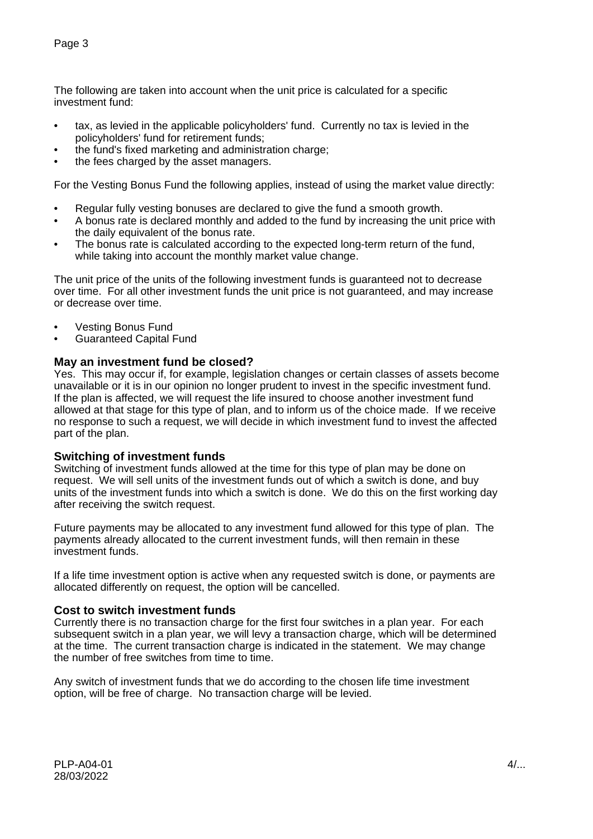The following are taken into account when the unit price is calculated for a specific investment fund:

- tax, as levied in the applicable policyholders' fund. Currently no tax is levied in the policyholders' fund for retirement funds;
- the fund's fixed marketing and administration charge;
- the fees charged by the asset managers.

For the Vesting Bonus Fund the following applies, instead of using the market value directly:

- Regular fully vesting bonuses are declared to give the fund a smooth growth.
- A bonus rate is declared monthly and added to the fund by increasing the unit price with the daily equivalent of the bonus rate.
- The bonus rate is calculated according to the expected long-term return of the fund, while taking into account the monthly market value change.

The unit price of the units of the following investment funds is guaranteed not to decrease over time. For all other investment funds the unit price is not guaranteed, and may increase or decrease over time.

- Vesting Bonus Fund
- Guaranteed Capital Fund

### **May an investment fund be closed?**

Yes. This may occur if, for example, legislation changes or certain classes of assets become unavailable or it is in our opinion no longer prudent to invest in the specific investment fund. If the plan is affected, we will request the life insured to choose another investment fund allowed at that stage for this type of plan, and to inform us of the choice made. If we receive no response to such a request, we will decide in which investment fund to invest the affected part of the plan.

#### **Switching of investment funds**

Switching of investment funds allowed at the time for this type of plan may be done on request. We will sell units of the investment funds out of which a switch is done, and buy units of the investment funds into which a switch is done. We do this on the first working day after receiving the switch request.

Future payments may be allocated to any investment fund allowed for this type of plan. The payments already allocated to the current investment funds, will then remain in these investment funds.

If a life time investment option is active when any requested switch is done, or payments are allocated differently on request, the option will be cancelled.

### **Cost to switch investment funds**

Currently there is no transaction charge for the first four switches in a plan year. For each subsequent switch in a plan year, we will levy a transaction charge, which will be determined at the time. The current transaction charge is indicated in the statement. We may change the number of free switches from time to time.

Any switch of investment funds that we do according to the chosen life time investment option, will be free of charge. No transaction charge will be levied.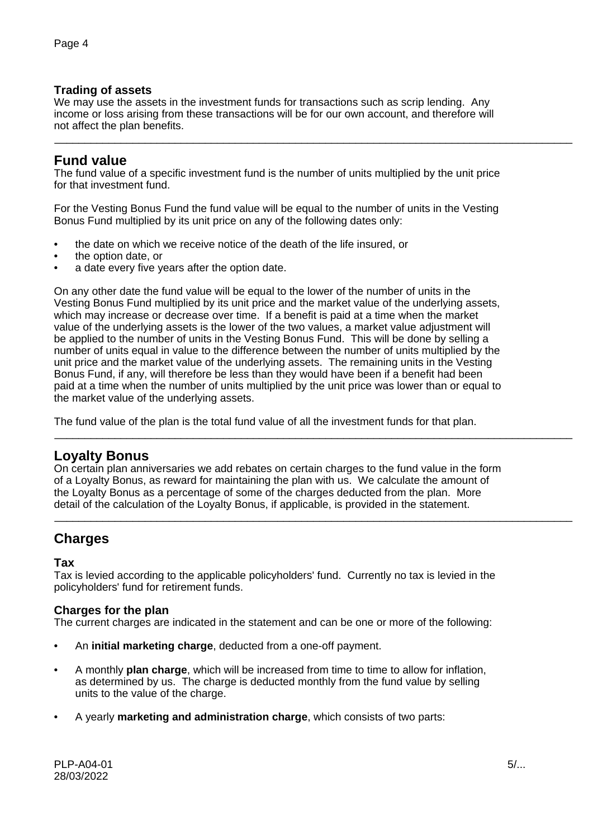## **Trading of assets**

We may use the assets in the investment funds for transactions such as scrip lending. Any income or loss arising from these transactions will be for our own account, and therefore will not affect the plan benefits.

\_\_\_\_\_\_\_\_\_\_\_\_\_\_\_\_\_\_\_\_\_\_\_\_\_\_\_\_\_\_\_\_\_\_\_\_\_\_\_\_\_\_\_\_\_\_\_\_\_\_\_\_\_\_\_\_\_\_\_\_\_\_\_\_\_\_\_\_\_\_\_\_\_\_\_\_\_\_\_\_\_\_\_\_\_\_

# **Fund value**

The fund value of a specific investment fund is the number of units multiplied by the unit price for that investment fund.

For the Vesting Bonus Fund the fund value will be equal to the number of units in the Vesting Bonus Fund multiplied by its unit price on any of the following dates only:

- the date on which we receive notice of the death of the life insured, or
- the option date, or
- a date every five years after the option date.

On any other date the fund value will be equal to the lower of the number of units in the Vesting Bonus Fund multiplied by its unit price and the market value of the underlying assets, which may increase or decrease over time. If a benefit is paid at a time when the market value of the underlying assets is the lower of the two values, a market value adjustment will be applied to the number of units in the Vesting Bonus Fund. This will be done by selling a number of units equal in value to the difference between the number of units multiplied by the unit price and the market value of the underlying assets. The remaining units in the Vesting Bonus Fund, if any, will therefore be less than they would have been if a benefit had been paid at a time when the number of units multiplied by the unit price was lower than or equal to the market value of the underlying assets.

The fund value of the plan is the total fund value of all the investment funds for that plan.

## **Loyalty Bonus**

On certain plan anniversaries we add rebates on certain charges to the fund value in the form of a Loyalty Bonus, as reward for maintaining the plan with us. We calculate the amount of the Loyalty Bonus as a percentage of some of the charges deducted from the plan. More detail of the calculation of the Loyalty Bonus, if applicable, is provided in the statement.

\_\_\_\_\_\_\_\_\_\_\_\_\_\_\_\_\_\_\_\_\_\_\_\_\_\_\_\_\_\_\_\_\_\_\_\_\_\_\_\_\_\_\_\_\_\_\_\_\_\_\_\_\_\_\_\_\_\_\_\_\_\_\_\_\_\_\_\_\_\_\_\_\_\_\_\_\_\_\_\_\_\_\_\_\_\_

\_\_\_\_\_\_\_\_\_\_\_\_\_\_\_\_\_\_\_\_\_\_\_\_\_\_\_\_\_\_\_\_\_\_\_\_\_\_\_\_\_\_\_\_\_\_\_\_\_\_\_\_\_\_\_\_\_\_\_\_\_\_\_\_\_\_\_\_\_\_\_\_\_\_\_\_\_\_\_\_\_\_\_\_\_\_

# **Charges**

### **Tax**

Tax is levied according to the applicable policyholders' fund. Currently no tax is levied in the policyholders' fund for retirement funds.

### **Charges for the plan**

The current charges are indicated in the statement and can be one or more of the following:

- An **initial marketing charge**, deducted from a one-off payment.
- A monthly **plan charge**, which will be increased from time to time to allow for inflation, as determined by us. The charge is deducted monthly from the fund value by selling units to the value of the charge.
- A yearly **marketing and administration charge**, which consists of two parts: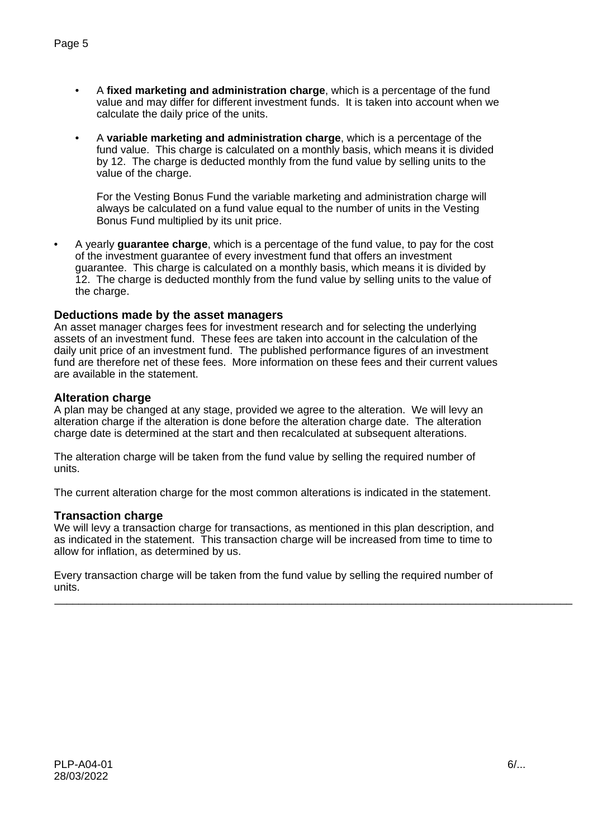- A **fixed marketing and administration charge**, which is a percentage of the fund value and may differ for different investment funds. It is taken into account when we calculate the daily price of the units.
- A **variable marketing and administration charge**, which is a percentage of the fund value. This charge is calculated on a monthly basis, which means it is divided by 12. The charge is deducted monthly from the fund value by selling units to the value of the charge.

For the Vesting Bonus Fund the variable marketing and administration charge will always be calculated on a fund value equal to the number of units in the Vesting Bonus Fund multiplied by its unit price.

• A yearly **guarantee charge**, which is a percentage of the fund value, to pay for the cost of the investment guarantee of every investment fund that offers an investment guarantee. This charge is calculated on a monthly basis, which means it is divided by 12. The charge is deducted monthly from the fund value by selling units to the value of the charge.

### **Deductions made by the asset managers**

An asset manager charges fees for investment research and for selecting the underlying assets of an investment fund. These fees are taken into account in the calculation of the daily unit price of an investment fund. The published performance figures of an investment fund are therefore net of these fees. More information on these fees and their current values are available in the statement.

### **Alteration charge**

A plan may be changed at any stage, provided we agree to the alteration. We will levy an alteration charge if the alteration is done before the alteration charge date. The alteration charge date is determined at the start and then recalculated at subsequent alterations.

The alteration charge will be taken from the fund value by selling the required number of units.

The current alteration charge for the most common alterations is indicated in the statement.

#### **Transaction charge**

We will levy a transaction charge for transactions, as mentioned in this plan description, and as indicated in the statement. This transaction charge will be increased from time to time to allow for inflation, as determined by us.

Every transaction charge will be taken from the fund value by selling the required number of units.

\_\_\_\_\_\_\_\_\_\_\_\_\_\_\_\_\_\_\_\_\_\_\_\_\_\_\_\_\_\_\_\_\_\_\_\_\_\_\_\_\_\_\_\_\_\_\_\_\_\_\_\_\_\_\_\_\_\_\_\_\_\_\_\_\_\_\_\_\_\_\_\_\_\_\_\_\_\_\_\_\_\_\_\_\_\_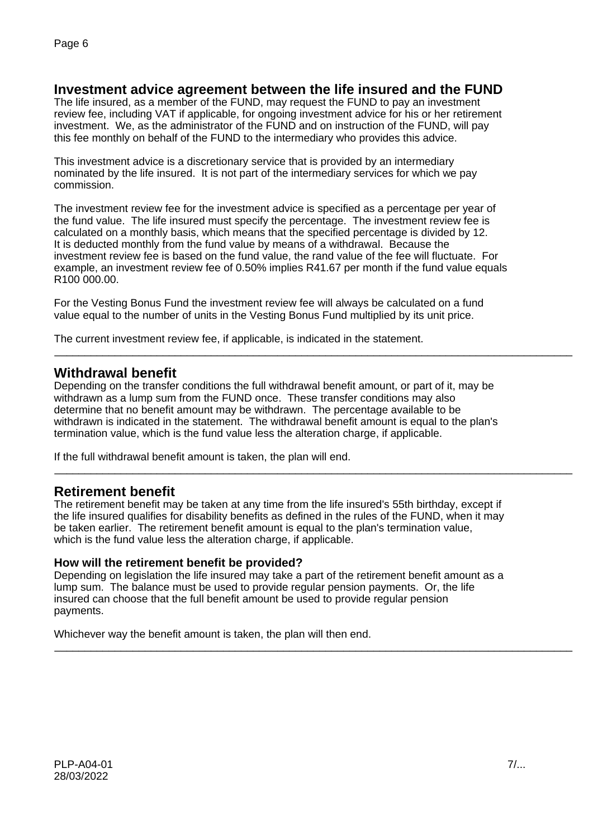# **Investment advice agreement between the life insured and the FUND**

The life insured, as a member of the FUND, may request the FUND to pay an investment review fee, including VAT if applicable, for ongoing investment advice for his or her retirement investment. We, as the administrator of the FUND and on instruction of the FUND, will pay this fee monthly on behalf of the FUND to the intermediary who provides this advice.

This investment advice is a discretionary service that is provided by an intermediary nominated by the life insured. It is not part of the intermediary services for which we pay commission.

The investment review fee for the investment advice is specified as a percentage per year of the fund value. The life insured must specify the percentage. The investment review fee is calculated on a monthly basis, which means that the specified percentage is divided by 12. It is deducted monthly from the fund value by means of a withdrawal. Because the investment review fee is based on the fund value, the rand value of the fee will fluctuate. For example, an investment review fee of 0.50% implies R41.67 per month if the fund value equals R100 000.00.

For the Vesting Bonus Fund the investment review fee will always be calculated on a fund value equal to the number of units in the Vesting Bonus Fund multiplied by its unit price.

The current investment review fee, if applicable, is indicated in the statement.

## **Withdrawal benefit**

Depending on the transfer conditions the full withdrawal benefit amount, or part of it, may be withdrawn as a lump sum from the FUND once. These transfer conditions may also determine that no benefit amount may be withdrawn. The percentage available to be withdrawn is indicated in the statement. The withdrawal benefit amount is equal to the plan's termination value, which is the fund value less the alteration charge, if applicable.

\_\_\_\_\_\_\_\_\_\_\_\_\_\_\_\_\_\_\_\_\_\_\_\_\_\_\_\_\_\_\_\_\_\_\_\_\_\_\_\_\_\_\_\_\_\_\_\_\_\_\_\_\_\_\_\_\_\_\_\_\_\_\_\_\_\_\_\_\_\_\_\_\_\_\_\_\_\_\_\_\_\_\_\_\_\_

\_\_\_\_\_\_\_\_\_\_\_\_\_\_\_\_\_\_\_\_\_\_\_\_\_\_\_\_\_\_\_\_\_\_\_\_\_\_\_\_\_\_\_\_\_\_\_\_\_\_\_\_\_\_\_\_\_\_\_\_\_\_\_\_\_\_\_\_\_\_\_\_\_\_\_\_\_\_\_\_\_\_\_\_\_\_

\_\_\_\_\_\_\_\_\_\_\_\_\_\_\_\_\_\_\_\_\_\_\_\_\_\_\_\_\_\_\_\_\_\_\_\_\_\_\_\_\_\_\_\_\_\_\_\_\_\_\_\_\_\_\_\_\_\_\_\_\_\_\_\_\_\_\_\_\_\_\_\_\_\_\_\_\_\_\_\_\_\_\_\_\_\_

If the full withdrawal benefit amount is taken, the plan will end.

## **Retirement benefit**

The retirement benefit may be taken at any time from the life insured's 55th birthday, except if the life insured qualifies for disability benefits as defined in the rules of the FUND, when it may be taken earlier. The retirement benefit amount is equal to the plan's termination value, which is the fund value less the alteration charge, if applicable.

### **How will the retirement benefit be provided?**

Depending on legislation the life insured may take a part of the retirement benefit amount as a lump sum. The balance must be used to provide regular pension payments. Or, the life insured can choose that the full benefit amount be used to provide regular pension payments.

Whichever way the benefit amount is taken, the plan will then end.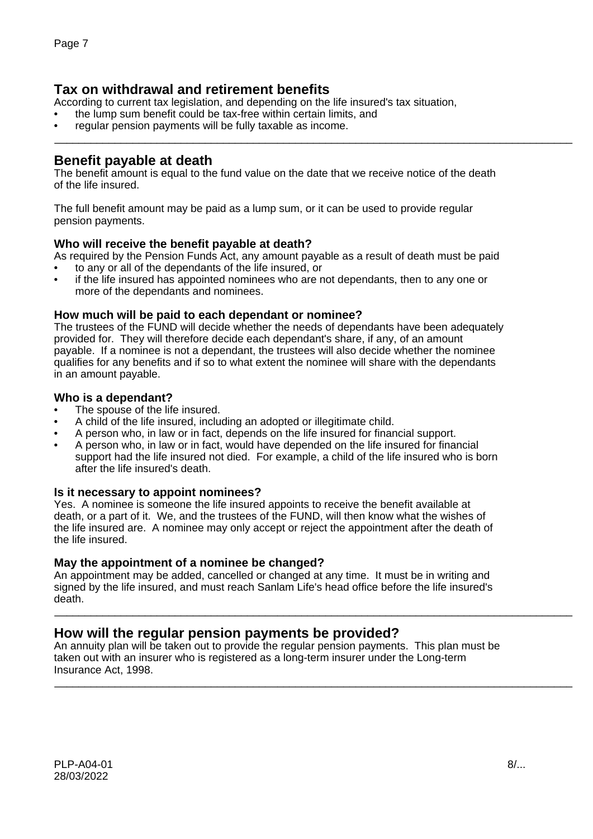# **Tax on withdrawal and retirement benefits**

According to current tax legislation, and depending on the life insured's tax situation,

• the lump sum benefit could be tax-free within certain limits, and

regular pension payments will be fully taxable as income. \_\_\_\_\_\_\_\_\_\_\_\_\_\_\_\_\_\_\_\_\_\_\_\_\_\_\_\_\_\_\_\_\_\_\_\_\_\_\_\_\_\_\_\_\_\_\_\_\_\_\_\_\_\_\_\_\_\_\_\_\_\_\_\_\_\_\_\_\_\_\_\_\_\_\_\_\_\_\_\_\_\_\_\_\_\_

## **Benefit payable at death**

The benefit amount is equal to the fund value on the date that we receive notice of the death of the life insured.

The full benefit amount may be paid as a lump sum, or it can be used to provide regular pension payments.

## **Who will receive the benefit payable at death?**

As required by the Pension Funds Act, any amount payable as a result of death must be paid

- to any or all of the dependants of the life insured, or
- if the life insured has appointed nominees who are not dependants, then to any one or more of the dependants and nominees.

## **How much will be paid to each dependant or nominee?**

The trustees of the FUND will decide whether the needs of dependants have been adequately provided for. They will therefore decide each dependant's share, if any, of an amount payable. If a nominee is not a dependant, the trustees will also decide whether the nominee qualifies for any benefits and if so to what extent the nominee will share with the dependants in an amount payable.

## **Who is a dependant?**

- The spouse of the life insured.
- A child of the life insured, including an adopted or illegitimate child.
- A person who, in law or in fact, depends on the life insured for financial support.
- A person who, in law or in fact, would have depended on the life insured for financial support had the life insured not died. For example, a child of the life insured who is born after the life insured's death.

### **Is it necessary to appoint nominees?**

Yes. A nominee is someone the life insured appoints to receive the benefit available at death, or a part of it. We, and the trustees of the FUND, will then know what the wishes of the life insured are. A nominee may only accept or reject the appointment after the death of the life insured.

### **May the appointment of a nominee be changed?**

An appointment may be added, cancelled or changed at any time. It must be in writing and signed by the life insured, and must reach Sanlam Life's head office before the life insured's death.

\_\_\_\_\_\_\_\_\_\_\_\_\_\_\_\_\_\_\_\_\_\_\_\_\_\_\_\_\_\_\_\_\_\_\_\_\_\_\_\_\_\_\_\_\_\_\_\_\_\_\_\_\_\_\_\_\_\_\_\_\_\_\_\_\_\_\_\_\_\_\_\_\_\_\_\_\_\_\_\_\_\_\_\_\_\_

\_\_\_\_\_\_\_\_\_\_\_\_\_\_\_\_\_\_\_\_\_\_\_\_\_\_\_\_\_\_\_\_\_\_\_\_\_\_\_\_\_\_\_\_\_\_\_\_\_\_\_\_\_\_\_\_\_\_\_\_\_\_\_\_\_\_\_\_\_\_\_\_\_\_\_\_\_\_\_\_\_\_\_\_\_\_

## **How will the regular pension payments be provided?**

An annuity plan will be taken out to provide the regular pension payments. This plan must be taken out with an insurer who is registered as a long-term insurer under the Long-term Insurance Act, 1998.